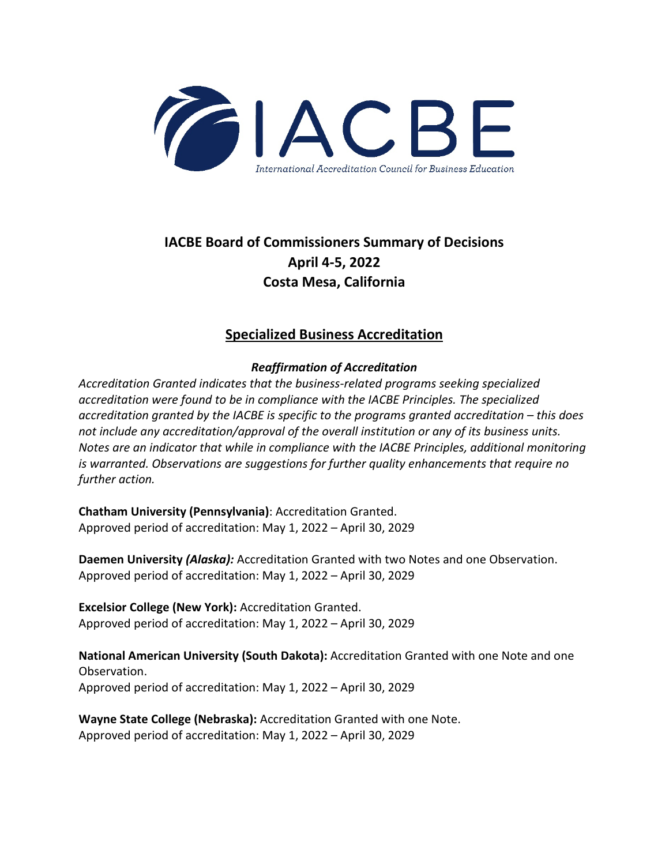

# **IACBE Board of Commissioners Summary of Decisions April 4-5, 2022 Costa Mesa, California**

### **Specialized Business Accreditation**

### *Reaffirmation of Accreditation*

*Accreditation Granted indicates that the business-related programs seeking specialized accreditation were found to be in compliance with the IACBE Principles. The specialized accreditation granted by the IACBE is specific to the programs granted accreditation – this does not include any accreditation/approval of the overall institution or any of its business units. Notes are an indicator that while in compliance with the IACBE Principles, additional monitoring is warranted. Observations are suggestions for further quality enhancements that require no further action.*

**Chatham University (Pennsylvania)**: Accreditation Granted. Approved period of accreditation: May 1, 2022 – April 30, 2029

**Daemen University** *(Alaska):* Accreditation Granted with two Notes and one Observation. Approved period of accreditation: May 1, 2022 – April 30, 2029

**Excelsior College (New York):** Accreditation Granted. Approved period of accreditation: May 1, 2022 – April 30, 2029

**National American University (South Dakota):** Accreditation Granted with one Note and one Observation. Approved period of accreditation: May 1, 2022 – April 30, 2029

**Wayne State College (Nebraska):** Accreditation Granted with one Note. Approved period of accreditation: May 1, 2022 – April 30, 2029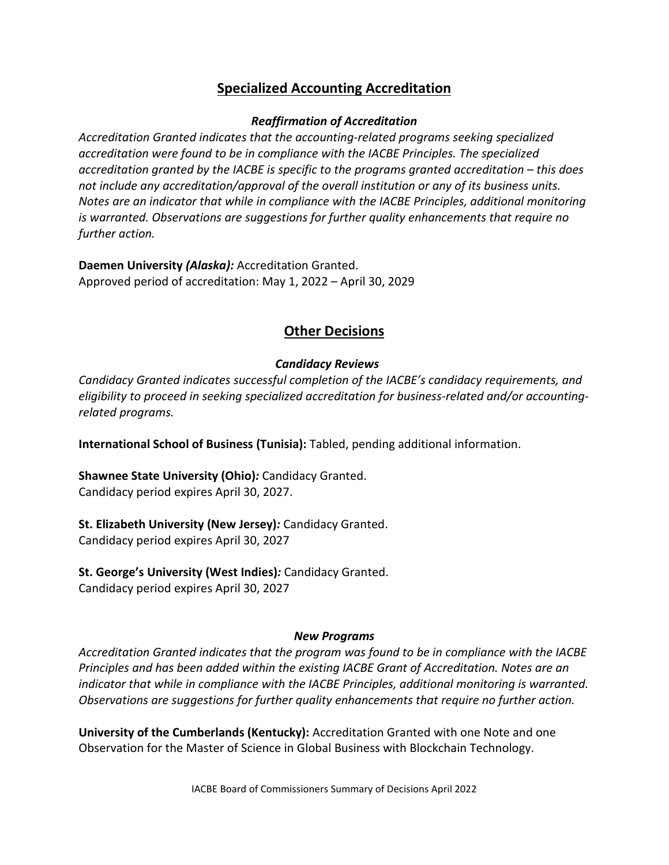## **Specialized Accounting Accreditation**

#### *Reaffirmation of Accreditation*

*Accreditation Granted indicates that the accounting-related programs seeking specialized accreditation were found to be in compliance with the IACBE Principles. The specialized accreditation granted by the IACBE is specific to the programs granted accreditation – this does not include any accreditation/approval of the overall institution or any of its business units. Notes are an indicator that while in compliance with the IACBE Principles, additional monitoring is warranted. Observations are suggestions for further quality enhancements that require no further action.*

**Daemen University** *(Alaska):* Accreditation Granted. Approved period of accreditation: May 1, 2022 – April 30, 2029

### **Other Decisions**

### *Candidacy Reviews*

*Candidacy Granted indicates successful completion of the IACBE's candidacy requirements, and eligibility to proceed in seeking specialized accreditation for business-related and/or accountingrelated programs.*

**International School of Business (Tunisia):** Tabled, pending additional information.

**Shawnee State University (Ohio)***:* Candidacy Granted. Candidacy period expires April 30, 2027.

**St. Elizabeth University (New Jersey)***:* Candidacy Granted. Candidacy period expires April 30, 2027

**St. George's University (West Indies)***:* Candidacy Granted. Candidacy period expires April 30, 2027

#### *New Programs*

*Accreditation Granted indicates that the program was found to be in compliance with the IACBE Principles and has been added within the existing IACBE Grant of Accreditation. Notes are an indicator that while in compliance with the IACBE Principles, additional monitoring is warranted. Observations are suggestions for further quality enhancements that require no further action.*

**University of the Cumberlands (Kentucky):** Accreditation Granted with one Note and one Observation for the Master of Science in Global Business with Blockchain Technology.